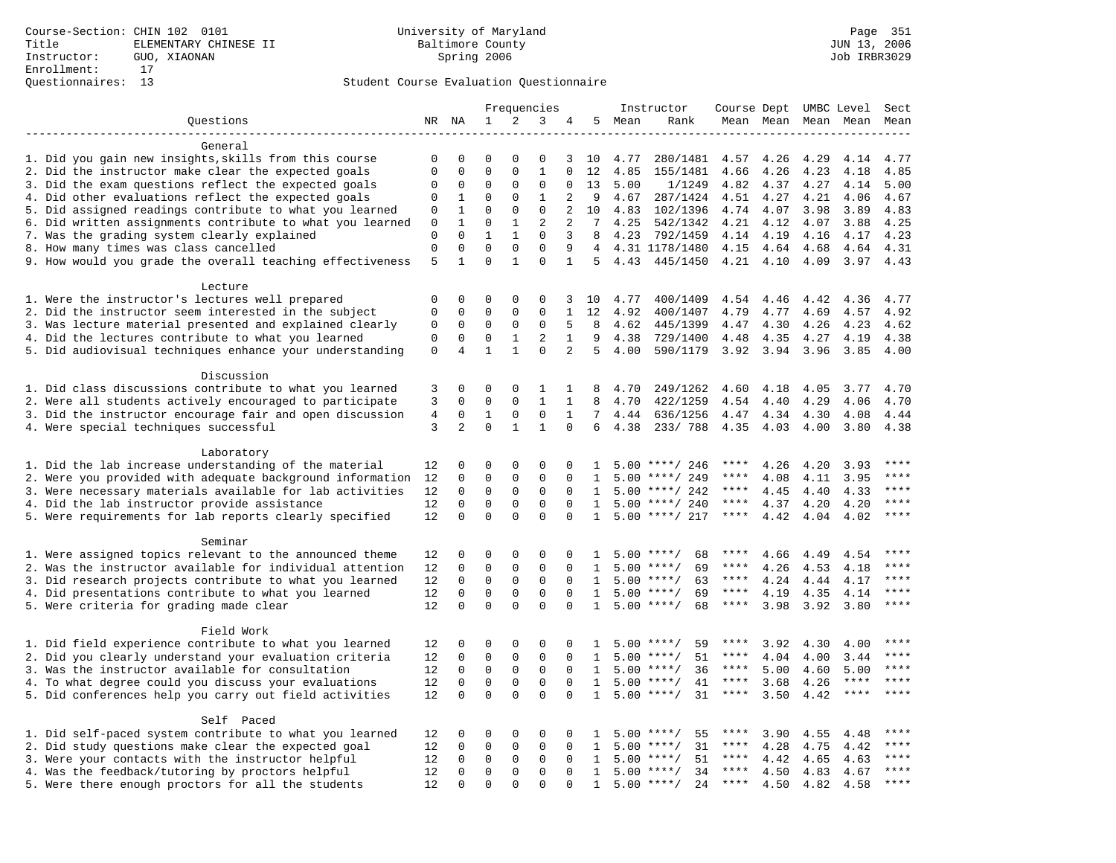|                                                           | Frequencies                |                |                             | Instructor                 | Course Dept UMBC Level      |                |                |      | Sect               |             |      |                     |             |                        |
|-----------------------------------------------------------|----------------------------|----------------|-----------------------------|----------------------------|-----------------------------|----------------|----------------|------|--------------------|-------------|------|---------------------|-------------|------------------------|
| Questions                                                 |                            | NR NA          | $\mathbf 1$                 | 2                          | 3                           | 4              | 5              | Mean | Rank               |             |      | Mean Mean Mean Mean |             | Mean                   |
|                                                           |                            |                |                             |                            |                             |                |                |      |                    |             |      |                     |             |                        |
| General                                                   |                            |                |                             |                            |                             |                |                |      |                    |             |      |                     |             |                        |
| 1. Did you gain new insights, skills from this course     | $\mathbf 0$                | 0              | $\mathbf 0$                 | $\Omega$                   | 0                           | 3              | 10             | 4.77 | 280/1481           | 4.57        | 4.26 | 4.29                | 4.14        | 4.77                   |
| 2. Did the instructor make clear the expected goals       | $\mathbf 0$                | $\Omega$       | $\Omega$                    | $\Omega$                   | $\mathbf{1}$                | $\Omega$       | 12             | 4.85 | 155/1481           | 4.66        | 4.26 | 4.23                | 4.18        | 4.85                   |
| 3. Did the exam questions reflect the expected goals      | 0                          | $\Omega$       | $\Omega$                    | $\Omega$                   | $\Omega$                    | $\Omega$       | 13             | 5.00 | 1/1249             | 4.82        | 4.37 | 4.27                | 4.14        | 5.00                   |
| 4. Did other evaluations reflect the expected goals       | 0                          | 1              | $\mathbf{0}$                | $\mathbf 0$                | $\mathbf{1}$                | 2              | 9              | 4.67 | 287/1424           | 4.51        | 4.27 | 4.21                | 4.06        | 4.67                   |
| 5. Did assigned readings contribute to what you learned   | 0                          | 1              | $\mathbf{0}$                | $\mathbf 0$                | $\mathbf{0}$                | 2              | 10             | 4.83 | 102/1396           | 4.74        | 4.07 | 3.98                | 3.89        | 4.83                   |
| 6. Did written assignments contribute to what you learned | 0                          | $\mathbf{1}$   | $\mathbf 0$                 | 1                          | 2                           | 2              | 7              | 4.25 | 542/1342           | 4.21        | 4.12 | 4.07                | 3.88        | 4.25                   |
| 7. Was the grading system clearly explained               | $\mathbf 0$                | $\Omega$       | $\mathbf{1}$                | $\mathbf{1}$               | $\Omega$                    | 3              | 8              | 4.23 | 792/1459           | 4.14 4.19   |      | 4.16                | 4.17        | 4.23                   |
| 8. How many times was class cancelled                     | $\mathbf 0$                | $\mathbf 0$    | $\Omega$                    | $\Omega$                   | $\Omega$                    | 9              | $\overline{4}$ |      | 4.31 1178/1480     | 4.15        | 4.64 | 4.68                | 4.64        | 4.31                   |
| 9. How would you grade the overall teaching effectiveness | 5                          | $\mathbf{1}$   | $\Omega$                    | $\mathbf{1}$               | $\Omega$                    | $\mathbf{1}$   | 5              | 4.43 | 445/1450           | 4.21        | 4.10 | 4.09                | 3.97        | 4.43                   |
|                                                           |                            |                |                             |                            |                             |                |                |      |                    |             |      |                     |             |                        |
| Lecture                                                   |                            |                |                             |                            |                             |                |                |      |                    |             |      |                     |             |                        |
| 1. Were the instructor's lectures well prepared           | $\mathbf 0$<br>$\mathbf 0$ | $\mathbf 0$    | $\mathbf 0$<br>$\mathbf{0}$ | $\mathbf 0$<br>$\mathbf 0$ | $\mathbf 0$<br>$\mathbf{0}$ | 3              | 10<br>12       | 4.77 | 400/1409           | 4.54        | 4.46 | 4.42                | 4.36        | 4.77<br>4.92           |
| 2. Did the instructor seem interested in the subject      |                            | 0              |                             |                            |                             | 1              | 8              | 4.92 | 400/1407           | 4.79        | 4.77 | 4.69                | 4.57        |                        |
| 3. Was lecture material presented and explained clearly   | 0                          | $\mathbf 0$    | $\mathbf 0$                 | $\mathbf 0$                | $\mathsf 0$                 | 5              | 9              | 4.62 | 445/1399           | 4.47        | 4.30 | 4.26                | 4.23        | 4.62                   |
| 4. Did the lectures contribute to what you learned        | $\mathsf 0$                | $\mathbf 0$    | $\mathbf 0$                 | $\mathbf{1}$               | $\overline{2}$              | $\mathbf{1}$   |                | 4.38 | 729/1400           | 4.48        | 4.35 | 4.27                | 4.19        | 4.38                   |
| 5. Did audiovisual techniques enhance your understanding  | $\mathbf 0$                | $\overline{4}$ | $\mathbf{1}$                | $\mathbf{1}$               | $\Omega$                    | $\overline{2}$ | 5              | 4.00 | 590/1179           | 3.92        | 3.94 | 3.96                | 3.85        | 4.00                   |
| Discussion                                                |                            |                |                             |                            |                             |                |                |      |                    |             |      |                     |             |                        |
| 1. Did class discussions contribute to what you learned   | 3                          | $\Omega$       | $\Omega$                    | $\Omega$                   | 1                           | 1              | 8              | 4.70 | 249/1262           | 4.60        | 4.18 | 4.05                | 3.77        | 4.70                   |
| 2. Were all students actively encouraged to participate   | 3                          | $\mathbf 0$    | $\mathbf 0$                 | $\mathbf 0$                | $\mathbf{1}$                | $\mathbf{1}$   | 8              | 4.70 | 422/1259           | 4.54        | 4.40 | 4.29                | 4.06        | 4.70                   |
| 3. Did the instructor encourage fair and open discussion  | $\,4$                      | $\mathbf 0$    | $\mathbf{1}$                | $\mathbf 0$                | $\mathbf 0$                 | $\mathbf{1}$   | 7              | 4.44 | 636/1256           | 4.47        | 4.34 | 4.30                | 4.08        | 4.44                   |
| 4. Were special techniques successful                     | 3                          | 2              | $\Omega$                    | 1                          | $\mathbf{1}$                | $\Omega$       | 6              | 4.38 | 233/788            | 4.35        | 4.03 | 4.00                | 3.80        | 4.38                   |
|                                                           |                            |                |                             |                            |                             |                |                |      |                    |             |      |                     |             |                        |
| Laboratory                                                |                            |                |                             |                            |                             |                |                |      |                    |             |      |                     |             |                        |
| 1. Did the lab increase understanding of the material     | 12                         | 0              | $\mathbf 0$                 | $\Omega$                   | $\Omega$                    | $\Omega$       | $\mathbf{1}$   |      | $5.00$ ****/ 246   | ****        | 4.26 | 4.20                | 3.93        |                        |
| 2. Were you provided with adequate background information | 12                         | $\mathbf 0$    | $\mathbf{0}$                | $\mathbf 0$                | $\mathbf 0$                 | $\mathbf 0$    | 1              | 5.00 | ****/ 249          | ****        | 4.08 | 4.11                | 3.95        | $***$                  |
| 3. Were necessary materials available for lab activities  | 12                         | $\mathbf 0$    | $\mathbf{0}$                | $\mathbf 0$                | 0                           | $\Omega$       | 1              | 5.00 | ****/ 242          | ****        | 4.45 | 4.40                | 4.33        | $***$ * * *            |
| 4. Did the lab instructor provide assistance              | 12                         | $\mathbf 0$    | $\mathbf 0$                 | $\mathbf 0$                | $\mathbf{0}$                | $\Omega$       | $\mathbf{1}$   |      | $5.00$ ****/ 240   | ****        | 4.37 | 4.20                | 4.20        | $***$                  |
| 5. Were requirements for lab reports clearly specified    | 12                         | $\Omega$       | $\Omega$                    | $\Omega$                   | $\Omega$                    | $\Omega$       | $\mathbf{1}$   |      | $5.00$ ****/ 217   | ****        | 4.42 | 4.04                | 4.02        | ****                   |
|                                                           |                            |                |                             |                            |                             |                |                |      |                    |             |      |                     |             |                        |
| Seminar                                                   |                            |                |                             |                            |                             |                |                |      |                    |             |      |                     |             |                        |
| 1. Were assigned topics relevant to the announced theme   | 12                         | $\mathbf 0$    | $\mathbf 0$                 | $\mathsf 0$                | $\mathbf{0}$                | 0              | 1              |      | 68<br>$5.00$ ****/ | ****        | 4.66 | 4.49                | 4.54        | $***$ * * *            |
| 2. Was the instructor available for individual attention  | 12                         | 0              | $\mathbf 0$                 | 0                          | $\mathbf{0}$                | 0              | 1              | 5.00 | $***/$<br>69       | ****        | 4.26 | 4.53                | 4.18        | ****                   |
| 3. Did research projects contribute to what you learned   | 12                         | $\mathbf 0$    | $\mathbf{0}$                | $\mathbf 0$                | $\mathbf{0}$                | $\Omega$       | $\mathbf{1}$   |      | $5.00$ ****/<br>63 | $***$ * * * | 4.24 | 4.44                | 4.17        | ****                   |
| 4. Did presentations contribute to what you learned       | 12                         | $\Omega$       | $\mathbf{0}$                | $\Omega$                   | $\Omega$                    | $\Omega$       | $\mathbf{1}$   | 5.00 | $***$ /<br>69      | $***$ * *   | 4.19 | 4.35                | 4.14        | $\star\star\star\star$ |
| 5. Were criteria for grading made clear                   | 12                         | $\Omega$       | $\Omega$                    | $\Omega$                   | $\Omega$                    | $\Omega$       | $\mathbf{1}$   |      | $5.00$ ****/<br>68 | ****        | 3.98 | 3.92                | 3.80        | ****                   |
|                                                           |                            |                |                             |                            |                             |                |                |      |                    |             |      |                     |             |                        |
| Field Work                                                |                            |                |                             |                            |                             |                |                |      |                    |             |      |                     |             |                        |
| 1. Did field experience contribute to what you learned    | 12                         | 0              | $\mathbf 0$                 | $\mathbf 0$                | 0                           | $\Omega$       | $\mathbf{1}$   |      | 59<br>$5.00$ ****/ | ****        | 3.92 | 4.30                | 4.00        | * * * *                |
| 2. Did you clearly understand your evaluation criteria    | 12                         | $\mathbf 0$    | $\mathbf 0$                 | $\mathbf 0$                | $\mathbf 0$                 | $\Omega$       | $\mathbf{1}$   | 5.00 | 51<br>$***/$       | ****        | 4.04 | 4.00                | 3.44        | ****                   |
| 3. Was the instructor available for consultation          | 12                         | $\mathbf 0$    | $\mathbf{0}$                | $\mathbf 0$                | $\mathbf{0}$                | $\Omega$       | $\mathbf{1}$   | 5.00 | $***/$<br>36       | $***$ * * * | 5.00 | 4.60                | 5.00        | ****                   |
| 4. To what degree could you discuss your evaluations      | 12                         | $\mathbf 0$    | $\mathbf 0$                 | $\mathbf 0$                | $\mathsf 0$                 | $\mathbf 0$    | $\mathbf{1}$   | 5.00 | $***$ /<br>41      | $***$ * * * | 3.68 | 4.26                | $***$ * * * | $***$                  |
| 5. Did conferences help you carry out field activities    |                            |                | $\mathbf 0$                 | $\Omega$                   | $\mathbf 0$                 | $\Omega$       | 1              | 5.00 | $***$ /<br>31      | $***$ * * * | 3.50 | 4.42                | $***$ * * * | $***$                  |
|                                                           |                            |                |                             |                            |                             |                |                |      |                    |             |      |                     |             |                        |
| Self Paced                                                |                            |                |                             |                            |                             |                |                |      |                    |             |      |                     |             |                        |
| 1. Did self-paced system contribute to what you learned   | 12                         | 0              | $\mathbf 0$                 | $\mathbf 0$                | $\mathbf 0$                 | $\Omega$       | 1              | 5.00 | $***/$<br>55       | ****        | 3.90 | 4.55                | 4.48        | ****                   |
| 2. Did study questions make clear the expected goal       | 12                         | $\Omega$       | $\mathbf 0$                 | $\mathsf 0$                | $\mathsf 0$                 | $\Omega$       | $\mathbf{1}$   | 5.00 | $***/$<br>31       | $***$ * * * | 4.28 | 4.75                | 4.42        | ****                   |
| 3. Were your contacts with the instructor helpful         | 12                         | $\mathbf 0$    | $\mathsf 0$                 | $\mathbf 0$                | $\mathsf 0$                 | $\mathbf 0$    | 1              | 5.00 | 51<br>$***$ /      | $***$ * * * | 4.42 | 4.65                | 4.63        | ****                   |
| 4. Was the feedback/tutoring by proctors helpful          | 12                         | 0              | $\mathbf 0$                 | $\mathbf 0$                | $\mathbf 0$                 | $\Omega$       | $\mathbf{1}$   | 5.00 | $***/$<br>34       | ****        | 4.50 | 4.83                | 4.67        | $***$                  |
| 5. Were there enough proctors for all the students        | 12                         | $\Omega$       | $\mathbf{0}$                | $\Omega$                   | $\Omega$                    | $\Omega$       | $\mathbf{1}$   |      | $5.00$ ****/<br>24 | $***$ * * * | 4.50 | 4.82                | 4.58        | ****                   |
|                                                           |                            |                |                             |                            |                             |                |                |      |                    |             |      |                     |             |                        |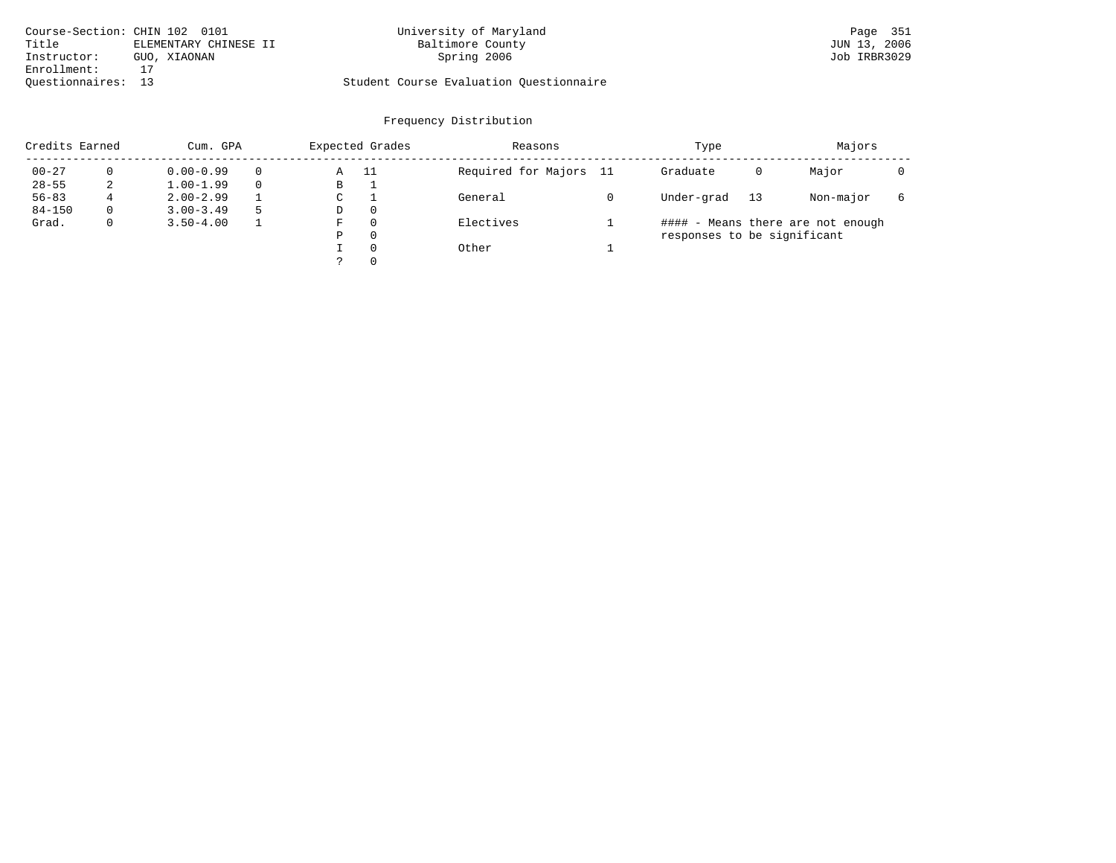| Course-Section: CHIN 102 0101 |                       | University of Maryland                  | Page 351     |
|-------------------------------|-----------------------|-----------------------------------------|--------------|
| Title                         | ELEMENTARY CHINESE II | Baltimore County                        | JUN 13, 2006 |
| Instructor:                   | GUO, XIAONAN          | Spring 2006                             | Job IRBR3029 |
| Enrollment:                   |                       |                                         |              |
| Ouestionnaires: 13            |                       | Student Course Evaluation Questionnaire |              |

|            | Credits Earned |               | Cum. GPA |   |          | Reasons                | Type                        | Majors |                                   |   |
|------------|----------------|---------------|----------|---|----------|------------------------|-----------------------------|--------|-----------------------------------|---|
| $00 - 27$  |                | $0.00 - 0.99$ |          | Α | - 11     | Required for Majors 11 | Graduate                    | 0      | Major                             |   |
| $28 - 55$  | 2              | $1.00 - 1.99$ |          | В |          |                        |                             |        |                                   |   |
| $56 - 83$  | 4              | $2.00 - 2.99$ |          | C |          | General                | Under-grad                  | 13     | Non-major                         | 6 |
| $84 - 150$ | $\Omega$       | $3.00 - 3.49$ |          | D | $\Omega$ |                        |                             |        |                                   |   |
| Grad.      | $\mathbf 0$    | $3.50 - 4.00$ |          | F | $\Omega$ | Electives              |                             |        | #### - Means there are not enough |   |
|            |                |               |          | Ρ | $\Omega$ |                        | responses to be significant |        |                                   |   |
|            |                |               |          |   | $\Omega$ | Other                  |                             |        |                                   |   |
|            |                |               |          |   | $\Omega$ |                        |                             |        |                                   |   |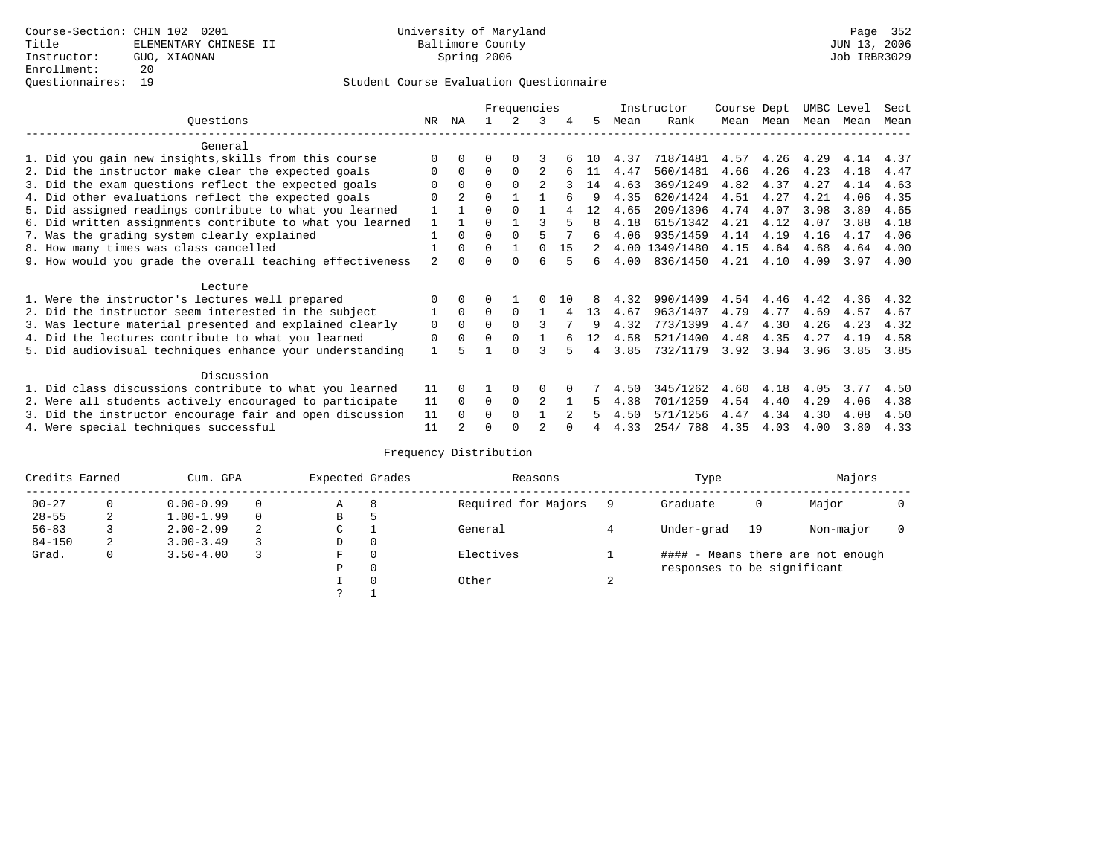|                                                           |                |                | Frequencies |          |                |    |     |      | Instructor     | Course Dept |      | UMBC Level |      | Sect |
|-----------------------------------------------------------|----------------|----------------|-------------|----------|----------------|----|-----|------|----------------|-------------|------|------------|------|------|
| Questions                                                 | NR             | ΝA             |             |          |                | 4  | 5   | Mean | Rank           | Mean        | Mean | Mean Mean  |      | Mean |
| General                                                   |                |                |             |          |                |    |     |      |                |             |      |            |      |      |
| 1. Did you gain new insights, skills from this course     |                |                |             |          |                |    | 1 N | 4.37 | 718/1481       | 4.57        | 4.26 | 4.29       | 4.14 | 4.37 |
| 2. Did the instructor make clear the expected goals       |                | $\Omega$       | $\Omega$    | $\Omega$ |                |    | 11  | 4.47 | 560/1481       | 4.66        | 4.26 | 4.23       | 4.18 | 4.47 |
| 3. Did the exam questions reflect the expected goals      |                | $\Omega$       | 0           |          | $\mathfrak{D}$ |    | 14  | 4.63 | 369/1249       | 4.82        | 4.37 | 4.27       | 4.14 | 4.63 |
| 4. Did other evaluations reflect the expected goals       | O              | $\overline{a}$ | $\Omega$    |          |                |    |     | 4.35 | 620/1424       | 4.51        | 4.27 | 4.21       | 4.06 | 4.35 |
| 5. Did assigned readings contribute to what you learned   |                |                | $\Omega$    | $\Omega$ |                |    | 12  | 4.65 | 209/1396       | 4.74        | 4.07 | 3.98       | 3.89 | 4.65 |
| 6. Did written assignments contribute to what you learned |                |                |             |          |                |    | 8   | 4.18 | 615/1342       | 4.21        | 4.12 | 4.07       | 3.88 | 4.18 |
| 7. Was the grading system clearly explained               |                | $\Omega$       | $\Omega$    | $\Omega$ |                |    | 6   | 4.06 | 935/1459       | 4.14        | 4.19 | 4.16       | 4.17 | 4.06 |
| 8. How many times was class cancelled                     |                | $\Omega$       | $\Omega$    |          | $\Omega$       | 15 |     |      | 4.00 1349/1480 | 4.15        | 4.64 | 4.68       | 4.64 | 4.00 |
| 9. How would you grade the overall teaching effectiveness | $\mathfrak{D}$ | <sup>n</sup>   | ∩           |          | ศ              |    | б.  | 4.00 | 836/1450       | 4.21        | 4.10 | 4.09       | 3.97 | 4.00 |
| Lecture                                                   |                |                |             |          |                |    |     |      |                |             |      |            |      |      |
| 1. Were the instructor's lectures well prepared           |                |                |             |          |                | 10 |     | 4.32 | 990/1409       | 4.54        | 4.46 | 4.42       | 4.36 | 4.32 |
| 2. Did the instructor seem interested in the subject      |                | $\Omega$       | $\Omega$    | $\Omega$ |                |    | 13  | 4.67 | 963/1407       | 4.79        | 4.77 | 4.69       | 4.57 | 4.67 |
| 3. Was lecture material presented and explained clearly   | 0              | $\Omega$       |             |          |                |    | q   | 4.32 | 773/1399       | 4.47        | 4.30 | 4.26       | 4.23 | 4.32 |
| 4. Did the lectures contribute to what you learned        | 0              | $\Omega$       |             |          |                |    | 12  | 4.58 | 521/1400       | 4.48        | 4.35 | 4.27       | 4.19 | 4.58 |
| 5. Did audiovisual techniques enhance your understanding  | $\mathbf{1}$   |                |             | $\cap$   |                |    | 4   | 3.85 | 732/1179       | 3.92        | 3.94 | 3.96       | 3.85 | 3.85 |
| Discussion                                                |                |                |             |          |                |    |     |      |                |             |      |            |      |      |
| 1. Did class discussions contribute to what you learned   | 11             | 0              |             | $\Omega$ |                |    |     | 4.50 | 345/1262       | 4.60        | 4.18 | 4.05       | 3.77 | 4.50 |
| 2. Were all students actively encouraged to participate   |                |                | $\Omega$    | $\Omega$ | $\overline{c}$ |    | 5.  | 4.38 | 701/1259       | 4.54        | 4.40 | 4.29       | 4.06 | 4.38 |
| 3. Did the instructor encourage fair and open discussion  |                |                | 0           | $\Omega$ |                |    |     | 4.50 | 571/1256       | 4.47        | 4.34 | 4.30       | 4.08 | 4.50 |
| 4. Were special techniques successful                     | 11             |                |             |          |                |    |     | 4.33 | 254/788        | 4.35        | 4.03 | 4.00       | 3.80 | 4.33 |

|            | Credits Earned<br>Cum. GPA |               | Expected Grades |   | Reasons  |                     | Type   | Majors                      |    |                                   |  |
|------------|----------------------------|---------------|-----------------|---|----------|---------------------|--------|-----------------------------|----|-----------------------------------|--|
| $00 - 27$  |                            | $0.00 - 0.99$ |                 | Α | 8        | Required for Majors |        | Graduate                    | 0  | Major                             |  |
| $28 - 55$  | 2                          | $1.00 - 1.99$ | $\Omega$        | В | Þ        |                     |        |                             |    |                                   |  |
| $56 - 83$  |                            | $2.00 - 2.99$ |                 | C |          | General             |        | Under-grad                  | 19 | Non-major                         |  |
| $84 - 150$ | 2                          | $3.00 - 3.49$ |                 | D | 0        |                     |        |                             |    |                                   |  |
| Grad.      | $\mathbf{0}$               | $3.50 - 4.00$ |                 | F | $\Omega$ | Electives           |        |                             |    | #### - Means there are not enough |  |
|            |                            |               |                 | Ρ | 0        |                     |        | responses to be significant |    |                                   |  |
|            |                            |               |                 |   | $\Omega$ | Other               | $\sim$ |                             |    |                                   |  |
|            |                            |               |                 |   |          |                     |        |                             |    |                                   |  |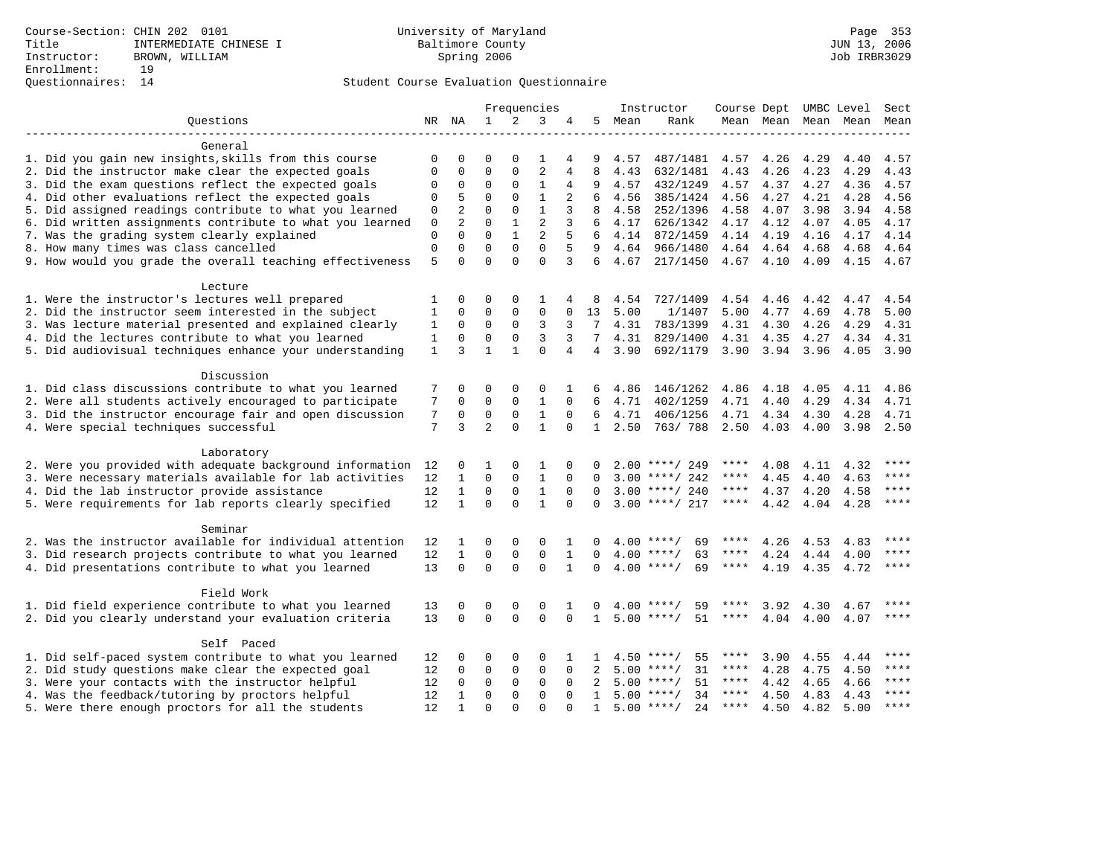|                                                           | Frequencies  |                | Instructor     |              |                         |              | Course Dept UMBC Level | Sect |                    |             |           |                     |           |       |
|-----------------------------------------------------------|--------------|----------------|----------------|--------------|-------------------------|--------------|------------------------|------|--------------------|-------------|-----------|---------------------|-----------|-------|
| Ouestions                                                 |              | NR NA          | $\mathbf{1}$   | 2            | 3                       |              | 5                      | Mean | Rank               |             |           | Mean Mean Mean Mean |           | Mean  |
| General                                                   |              |                |                |              |                         |              |                        |      |                    |             |           |                     |           |       |
| 1. Did you gain new insights, skills from this course     | 0            | 0              | $\Omega$       | $\Omega$     | 1                       | 4            | 9                      | 4.57 | 487/1481           | 4.57        | 4.26      | 4.29                | 4.40      | 4.57  |
| 2. Did the instructor make clear the expected goals       | $\Omega$     | 0              | $\Omega$       | $\Omega$     | $\overline{c}$          | 4            | 8                      | 4.43 | 632/1481           | 4.43        | 4.26      | 4.23                | 4.29      | 4.43  |
| 3. Did the exam questions reflect the expected goals      | $\Omega$     | 0              | $\Omega$       | $\Omega$     | $\mathbf{1}$            | 4            | 9                      | 4.57 | 432/1249           | 4.57        | 4.37      | 4.27                | 4.36      | 4.57  |
| 4. Did other evaluations reflect the expected goals       | $\Omega$     | 5              | $\Omega$       | $\Omega$     | $\mathbf{1}$            | 2            | 6                      | 4.56 | 385/1424           | 4.56        | 4.27      | 4.21                | 4.28      | 4.56  |
| 5. Did assigned readings contribute to what you learned   | 0            | $\overline{a}$ | $\Omega$       | $\Omega$     | $\mathbf{1}$            | 3            | 8                      | 4.58 | 252/1396           | 4.58        | 4.07      | 3.98                | 3.94      | 4.58  |
| 6. Did written assignments contribute to what you learned | $\mathsf 0$  | $\overline{2}$ | 0              | $\mathbf{1}$ | $\overline{c}$          | 3            | 6                      | 4.17 | 626/1342           | 4.17        | 4.12      | 4.07                | 4.05      | 4.17  |
| 7. Was the grading system clearly explained               | $\mathbf 0$  | $\Omega$       | $\Omega$       | $\mathbf{1}$ | $\overline{2}$          | 5            | 6                      | 4.14 | 872/1459           | 4.14        | 4.19      | 4.16                | 4.17      | 4.14  |
| 8. How many times was class cancelled                     | $\Omega$     | 0              | $\Omega$       | $\Omega$     | $\Omega$                | 5            | 9                      | 4.64 | 966/1480           |             | 4.64 4.64 | 4.68                | 4.68      | 4.64  |
| 9. How would you grade the overall teaching effectiveness | 5            | $\Omega$       | $\Omega$       | $\Omega$     | $\Omega$                | 3            | б.                     | 4.67 | 217/1450           | 4.67 4.10   |           | 4.09                | 4.15      | 4.67  |
|                                                           |              |                |                |              |                         |              |                        |      |                    |             |           |                     |           |       |
| Lecture                                                   |              |                |                |              |                         |              |                        |      |                    |             |           |                     |           |       |
| 1. Were the instructor's lectures well prepared           | 1            | 0              | $\Omega$       | $\Omega$     | 1                       | 4            | 8                      | 4.54 | 727/1409           | 4.54        | 4.46      | 4.42                | 4.47      | 4.54  |
| 2. Did the instructor seem interested in the subject      | $\mathbf{1}$ | $\mathbf 0$    | $\mathbf{0}$   | 0            | $\mathbf 0$             | $\mathbf 0$  | 13                     | 5.00 | 1/1407             | 5.00        | 4.77      | 4.69                | 4.78      | 5.00  |
| 3. Was lecture material presented and explained clearly   | 1            | $\Omega$       | 0              | 0            | 3                       | 3            | 7                      | 4.31 | 783/1399           | 4.31        | 4.30      | 4.26                | 4.29      | 4.31  |
| 4. Did the lectures contribute to what you learned        | 1            | $\Omega$       | $\mathbf 0$    | $\Omega$     | 3                       | 3            | 7                      | 4.31 | 829/1400           | 4.31        | 4.35      | 4.27                | 4.34      | 4.31  |
| 5. Did audiovisual techniques enhance your understanding  | $\mathbf{1}$ | 3              | $\mathbf{1}$   | $\mathbf{1}$ | $\Omega$                | 4            | 4                      | 3.90 | 692/1179           | 3.90        | 3.94      | 3.96                | 4.05      | 3.90  |
| Discussion                                                |              |                |                |              |                         |              |                        |      |                    |             |           |                     |           |       |
| 1. Did class discussions contribute to what you learned   | 7            | 0              | $\Omega$       | $\Omega$     | $\Omega$                | 1            | 6                      | 4.86 | 146/1262           | 4.86        | 4.18      | 4.05                | 4.11      | 4.86  |
| 2. Were all students actively encouraged to participate   | 7            | 0              | 0              | 0            | 1                       | $\Omega$     | 6                      | 4.71 | 402/1259           | 4.71        | 4.40      | 4.29                | 4.34      | 4.71  |
| 3. Did the instructor encourage fair and open discussion  | 7            | 0              | $\mathbf 0$    | $\mathbf 0$  | $\mathbf{1}$            | $\Omega$     | 6                      | 4.71 | 406/1256           | 4.71        | 4.34      | 4.30                | 4.28      | 4.71  |
| 4. Were special techniques successful                     | 7            | 3              | $\overline{2}$ | $\Omega$     | $\mathbf{1}$            | $\Omega$     | $\mathbf{1}$           | 2.50 | 763/788            | 2.50        | 4.03      | 4.00                | 3.98      | 2.50  |
|                                                           |              |                |                |              |                         |              |                        |      |                    |             |           |                     |           |       |
| Laboratory                                                |              |                |                |              |                         |              |                        |      |                    |             |           |                     |           |       |
| 2. Were you provided with adequate background information | 12           | 0              | 1              | $\Omega$     | 1                       | $\Omega$     | O                      |      | $2.00$ ****/ 249   |             | 4.08      | 4.11                | 4.32      |       |
| 3. Were necessary materials available for lab activities  | 12           | $\mathbf{1}$   | $\Omega$       | $\Omega$     | $\mathbf{1}$            | $\Omega$     | $\Omega$               |      | $3.00$ ****/ 242   | ****        | 4.45      | 4.40                | 4.63      | ****  |
| 4. Did the lab instructor provide assistance              | 12           | $\mathbf{1}$   | $\Omega$       | 0            | $\mathbf{1}$            | $\Omega$     | $\Omega$               |      | $3.00$ ****/ 240   | $***$ * * * | 4.37      | 4.20                | 4.58      | $***$ |
| 5. Were requirements for lab reports clearly specified    | 12           | $\mathbf{1}$   | $\Omega$       | $\Omega$     | $\mathbf{1}$            | $\Omega$     | $\Omega$               |      | $3.00$ ****/ 217   | $***$ * * * | 4.42      |                     | 4.04 4.28 | $***$ |
| Seminar                                                   |              |                |                |              |                         |              |                        |      |                    |             |           |                     |           |       |
| 2. Was the instructor available for individual attention  | 12           | 1              | $\Omega$       | $\mathbf 0$  | $\mathbf 0$             | 1            | 0                      |      | $4.00$ ****/<br>69 | ****        | 4.26      | 4.53                | 4.83      |       |
| 3. Did research projects contribute to what you learned   | 12           | $\mathbf{1}$   | 0              | 0            | $\mathbf 0$             | 1            | 0                      | 4.00 | $***/$<br>63       | ****        | 4.24      | 4.44                | 4.00      | $***$ |
| 4. Did presentations contribute to what you learned       | 13           | $\mathbf 0$    | $\mathbf 0$    | $\Omega$     | $\Omega$                | $\mathbf{1}$ | $\Omega$               |      | $4.00$ ****/<br>69 | $***$ * * * | 4.19      | 4.35                | 4.72      | ****  |
|                                                           |              |                |                |              |                         |              |                        |      |                    |             |           |                     |           |       |
| Field Work                                                |              |                |                |              |                         |              |                        |      |                    |             |           |                     |           |       |
| 1. Did field experience contribute to what you learned    | 13           | 0              | 0              | 0            | 0                       | 1            | 0                      |      | $4.00$ ****/<br>59 | ****        | 3.92      | 4.30                | 4.67      | ****  |
| 2. Did you clearly understand your evaluation criteria    | 13           | $\Omega$       | $\Omega$       | $\Omega$     | $\Omega$                | $\Omega$     | $\mathbf{1}$           |      | $5.00$ ****/<br>51 | ****        | 4.04      | 4.00                | 4.07      | $***$ |
|                                                           |              |                |                |              |                         |              |                        |      |                    |             |           |                     |           |       |
| Self Paced                                                |              |                |                |              |                         |              |                        |      |                    |             |           |                     |           |       |
| 1. Did self-paced system contribute to what you learned   | 12           | 0              | $\Omega$       | $\Omega$     | $\mathbf 0$             |              |                        |      | $4.50$ ****/<br>55 | ****        | 3.90      | 4.55                | 4.44      |       |
| 2. Did study questions make clear the expected goal       | 12           | 0              | $\Omega$       | 0            | $\mathbf 0$             | $\Omega$     | 2                      | 5.00 | 31<br>$***/$       | ****        | 4.28      | 4.75                | 4.50      | ****  |
| 3. Were your contacts with the instructor helpful         | 12           | $\Omega$       | $\mathbf 0$    | 0            | $\mathbf 0$<br>$\Omega$ | $\Omega$     | 2                      |      | 51<br>$5.00$ ****/ | $***$ * * * | 4.42      | 4.65                | 4.66      | $***$ |
| 4. Was the feedback/tutoring by proctors helpful          | 12           | 1              | $\Omega$       | 0            |                         | $\Omega$     | $\mathbf{1}$           |      | $5.00$ ****/<br>34 | $***$ * * * | 4.50      | 4.83                | 4.43      | $***$ |
| 5. Were there enough proctors for all the students        | 12           | $\mathbf{1}$   | $\Omega$       | $\Omega$     | $\Omega$                | $\Omega$     | $\mathbf{1}$           |      | $5.00$ ****/<br>24 | $***$ * *   | 4.50      | 4.82                | 5.00      |       |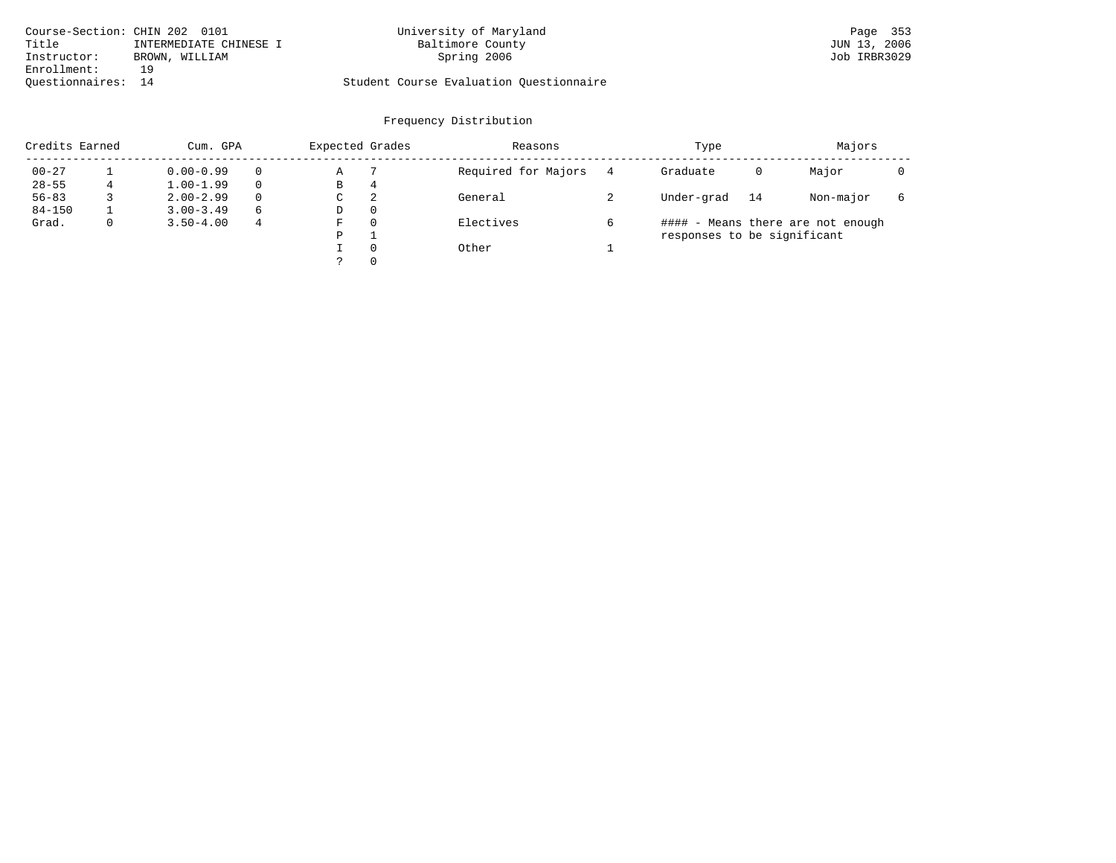| Course-Section: CHIN 202 0101 |                        | University of Maryland                  | Page 353     |
|-------------------------------|------------------------|-----------------------------------------|--------------|
| Title                         | INTERMEDIATE CHINESE I | Baltimore County                        | JUN 13, 2006 |
| Instructor:                   | BROWN, WILLIAM         | Spring 2006                             | Job IRBR3029 |
| Enrollment:                   | 1 Q                    |                                         |              |
| Ouestionnaires: 14            |                        | Student Course Evaluation Questionnaire |              |

| Credits Earned<br>Cum. GPA |  |               |          | Expected Grades |          | Reasons             |   | Type                        | Majors |                                   |  |
|----------------------------|--|---------------|----------|-----------------|----------|---------------------|---|-----------------------------|--------|-----------------------------------|--|
| $00 - 27$                  |  | $0.00 - 0.99$ | $\Omega$ | Α               |          | Required for Majors | 4 | Graduate                    | 0      | Major                             |  |
| $28 - 55$                  |  | $1.00 - 1.99$ | $\Omega$ | В               | 4        |                     |   |                             |        |                                   |  |
| $56 - 83$                  |  | $2.00 - 2.99$ | $\Omega$ | C               | 2        | General             |   | Under-grad                  | 14     | Non-major                         |  |
| $84 - 150$                 |  | $3.00 - 3.49$ | 6        | D               | 0        |                     |   |                             |        |                                   |  |
| Grad.                      |  | $3.50 - 4.00$ | 4        | F               | $\Omega$ | Electives           |   |                             |        | #### - Means there are not enough |  |
|                            |  |               |          | P               |          |                     |   | responses to be significant |        |                                   |  |
|                            |  |               |          |                 | $\Omega$ | Other               |   |                             |        |                                   |  |
|                            |  |               |          |                 | $\Omega$ |                     |   |                             |        |                                   |  |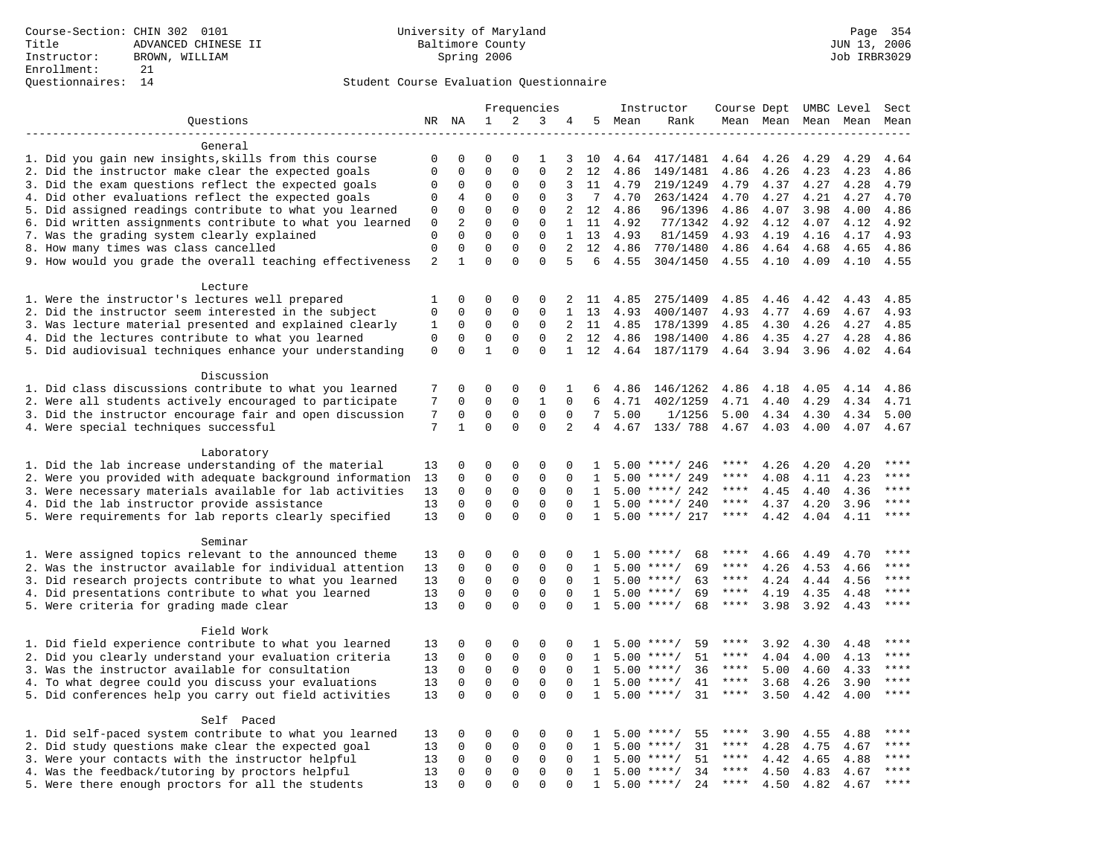|                                                            | Frequencies |              | Instructor   | Course Dept UMBC Level |              |                |                              | Sect |                    |             |      |                     |      |             |
|------------------------------------------------------------|-------------|--------------|--------------|------------------------|--------------|----------------|------------------------------|------|--------------------|-------------|------|---------------------|------|-------------|
| Questions                                                  |             | NR NA        | $\mathbf 1$  | 2                      | 3            | 4              | 5                            | Mean | Rank               |             |      | Mean Mean Mean Mean |      | Mean        |
|                                                            |             |              |              |                        |              |                |                              |      |                    |             |      |                     |      |             |
| General                                                    |             |              |              |                        |              |                |                              |      |                    |             |      |                     |      |             |
| 1. Did you gain new insights, skills from this course      | 0           | 0            | $\mathbf 0$  | $\Omega$               | 1            | 3              | 10                           | 4.64 | 417/1481           | 4.64        | 4.26 | 4.29                | 4.29 | 4.64        |
| 2. Did the instructor make clear the expected goals        | $\mathbf 0$ | $\mathbf 0$  | $\mathbf{0}$ | $\mathbf 0$            | $\Omega$     | 2              | 12                           | 4.86 | 149/1481           | 4.86        | 4.26 | 4.23                | 4.23 | 4.86        |
| 3. Did the exam questions reflect the expected goals       | $\mathbf 0$ | 0            | $\Omega$     | $\Omega$               | $\Omega$     | 3              | 11                           | 4.79 | 219/1249           | 4.79        | 4.37 | 4.27                | 4.28 | 4.79        |
| 4. Did other evaluations reflect the expected goals        | $\Omega$    | 4            | $\Omega$     | $\Omega$               | $\Omega$     | 3              | $7\phantom{.0}\phantom{.0}7$ | 4.70 | 263/1424           | 4.70        | 4.27 | 4.21                | 4.27 | 4.70        |
| 5. Did assigned readings contribute to what you learned    | $\mathsf 0$ | $\mathbf 0$  | $\mathbf{0}$ | $\mathbf 0$            | $\mathsf 0$  | 2              | 12                           | 4.86 | 96/1396            | 4.86        | 4.07 | 3.98                | 4.00 | 4.86        |
| 6. Did written assignments contribute to what you learned  | $\mathbf 0$ | 2            | $\mathbf 0$  | $\mathbf 0$            | $\mathbf{0}$ | $\mathbf{1}$   | 11                           | 4.92 | 77/1342            | 4.92        | 4.12 | 4.07                | 4.12 | 4.92        |
| 7. Was the grading system clearly explained                | $\mathbf 0$ | $\Omega$     | $\Omega$     | $\mathbf 0$            | $\Omega$     | $\mathbf{1}$   | 13                           | 4.93 | 81/1459            | 4.93        | 4.19 | 4.16                | 4.17 | 4.93        |
| 8. How many times was class cancelled                      | $\mathbf 0$ | $\mathbf 0$  | $\mathbf 0$  | $\mathbf 0$            | $\mathbf 0$  | 2              | 12                           | 4.86 | 770/1480           | 4.86        | 4.64 | 4.68                | 4.65 | 4.86        |
| 9. How would you grade the overall teaching effectiveness  | 2           | $\mathbf{1}$ | $\Omega$     | $\Omega$               | $\Omega$     | 5              | 6                            | 4.55 | 304/1450           | 4.55        | 4.10 | 4.09                | 4.10 | 4.55        |
|                                                            |             |              |              |                        |              |                |                              |      |                    |             |      |                     |      |             |
| Lecture<br>1. Were the instructor's lectures well prepared | 1           | $\mathbf 0$  | $\mathbf 0$  | $\mathbf 0$            | 0            | 2              | 11                           | 4.85 | 275/1409           | 4.85        | 4.46 | 4.42                | 4.43 | 4.85        |
| 2. Did the instructor seem interested in the subject       | 0           | 0            | $\mathbf 0$  | $\mathbf 0$            | 0            | $\mathbf 1$    | 13                           | 4.93 | 400/1407           | 4.93        | 4.77 | 4.69                | 4.67 | 4.93        |
|                                                            |             | 0            | 0            | 0                      | $\mathbf 0$  | 2              | 11                           | 4.85 | 178/1399           | 4.85        | 4.30 |                     | 4.27 | 4.85        |
| 3. Was lecture material presented and explained clearly    | 1           | $\mathbf 0$  | $\mathbf{0}$ | $\Omega$               | $\Omega$     |                |                              |      |                    |             |      | 4.26                |      |             |
| 4. Did the lectures contribute to what you learned         | $\mathbf 0$ |              |              |                        |              | 2              | 12                           | 4.86 | 198/1400           | 4.86        | 4.35 | 4.27                | 4.28 | 4.86        |
| 5. Did audiovisual techniques enhance your understanding   | $\mathbf 0$ | $\Omega$     | $\mathbf{1}$ | $\Omega$               | $\Omega$     | $\mathbf{1}$   | 12                           | 4.64 | 187/1179           | 4.64        | 3.94 | 3.96                | 4.02 | 4.64        |
| Discussion                                                 |             |              |              |                        |              |                |                              |      |                    |             |      |                     |      |             |
| 1. Did class discussions contribute to what you learned    | 7           | $\mathbf 0$  | $\mathbf{0}$ | $\mathbf 0$            | 0            | 1              | 6                            | 4.86 | 146/1262           | 4.86        | 4.18 | 4.05                | 4.14 | 4.86        |
| 2. Were all students actively encouraged to participate    | 7           | $\mathbf 0$  | $\mathbf 0$  | $\mathbf 0$            | $\mathbf{1}$ | $\Omega$       | 6                            | 4.71 | 402/1259           | 4.71        | 4.40 | 4.29                | 4.34 | 4.71        |
| 3. Did the instructor encourage fair and open discussion   | 7           | 0            | $\mathbf 0$  | $\mathbf 0$            | $\mathbf{0}$ | $\mathbf 0$    | 7                            | 5.00 | 1/1256             | 5.00        | 4.34 | 4.30                | 4.34 | 5.00        |
| 4. Were special techniques successful                      | 7           | $\mathbf{1}$ | $\Omega$     | $\Omega$               | $\mathbf{0}$ | $\overline{2}$ | 4                            | 4.67 | 133/788            | 4.67        | 4.03 | 4.00                | 4.07 | 4.67        |
|                                                            |             |              |              |                        |              |                |                              |      |                    |             |      |                     |      |             |
| Laboratory                                                 |             |              |              |                        |              |                |                              |      |                    |             |      |                     |      |             |
| 1. Did the lab increase understanding of the material      | 13          | 0            | $\mathbf 0$  | $\mathsf 0$            | $\mathsf 0$  | 0              | 1                            |      | $5.00$ ****/ 246   | ****        | 4.26 | 4.20                | 4.20 |             |
| 2. Were you provided with adequate background information  | 13          | $\mathbf 0$  | $\mathbf 0$  | $\mathbf 0$            | $\mathbf 0$  | $\mathbf 0$    | 1                            | 5.00 | ****/ 249          | ****        | 4.08 | 4.11                | 4.23 | ****        |
| 3. Were necessary materials available for lab activities   | 13          | 0            | $\mathbf 0$  | $\mathbf 0$            | 0            | $\Omega$       | 1                            |      | $5.00$ ****/ 242   | ****        | 4.45 | 4.40                | 4.36 | ****        |
| 4. Did the lab instructor provide assistance               | 13          | $\Omega$     | $\mathbf{0}$ | $\Omega$               | $\mathbf{0}$ | $\Omega$       | $\mathbf{1}$                 |      | $5.00$ ****/ 240   | ****        | 4.37 | 4.20                | 3.96 | $***$       |
| 5. Were requirements for lab reports clearly specified     | 13          | $\Omega$     | $\Omega$     | $\Omega$               | $\Omega$     | $\Omega$       | $\mathbf{1}$                 |      | $5.00$ ****/ 217   | $***$ * *   | 4.42 | 4.04                | 4.11 | $* * * *$   |
|                                                            |             |              |              |                        |              |                |                              |      |                    |             |      |                     |      |             |
| Seminar                                                    |             |              |              |                        |              |                |                              |      |                    |             |      |                     |      |             |
| 1. Were assigned topics relevant to the announced theme    | 13          | 0            | $\mathbf{0}$ | $\mathbf 0$            | 0            | $\mathbf 0$    | 1                            |      | $5.00$ ****/<br>68 | ****        | 4.66 | 4.49                | 4.70 | ****        |
| 2. Was the instructor available for individual attention   | 13          | $\mathbf 0$  | $\mathsf 0$  | $\mathsf 0$            | $\mathbf{0}$ | $\mathbf 0$    | 1                            | 5.00 | $***$ /<br>69      | $***$ * *   | 4.26 | 4.53                | 4.66 |             |
| 3. Did research projects contribute to what you learned    | 13          | $\mathbf 0$  | $\mathbf 0$  | $\mathsf 0$            | $\mathbf 0$  | $\Omega$       | 1                            | 5.00 | $***/$<br>63       | ****        | 4.24 | 4.44                | 4.56 | ****        |
| 4. Did presentations contribute to what you learned        | 13          | $\mathbf 0$  | $\mathbf 0$  | $\mathbf 0$            | $\mathbf 0$  | $\Omega$       | 1                            | 5.00 | $***/$<br>69       | $***$ * *   | 4.19 | 4.35                | 4.48 | $***$       |
| 5. Were criteria for grading made clear                    | 13          | $\Omega$     | $\Omega$     | $\Omega$               | $\Omega$     | $\Omega$       | $\mathbf{1}$                 |      | $5.00$ ****/<br>68 | ****        | 3.98 | 3.92                | 4.43 | $***$       |
|                                                            |             |              |              |                        |              |                |                              |      |                    |             |      |                     |      |             |
| Field Work                                                 |             |              |              |                        |              |                |                              |      |                    |             |      |                     |      |             |
| 1. Did field experience contribute to what you learned     | 13          | $\mathbf 0$  | $\mathbf 0$  | $\mathsf 0$            | 0            | $\mathbf 0$    | п.                           |      | $5.00$ ****/<br>59 | ****        | 3.92 | 4.30                | 4.48 |             |
| 2. Did you clearly understand your evaluation criteria     | 13          | $\mathbf 0$  | $\mathbf 0$  | $\mathbf 0$            | $\mathbf 0$  | $\Omega$       | 1                            | 5.00 | $***/$<br>51       | ****        | 4.04 | 4.00                | 4.13 | $***$ * * * |
| 3. Was the instructor available for consultation           | 13          | $\mathbf 0$  | $\mathbf 0$  | $\mathbf 0$            | $\mathbf 0$  | 0              | $\mathbf{1}$                 |      | $5.00$ ****/<br>36 | ****        | 5.00 | 4.60                | 4.33 | ****        |
| 4. To what degree could you discuss your evaluations       | 13          | $\mathbf 0$  | $\mathbf 0$  | $\mathbf 0$            | $\mathbf 0$  | $\Omega$       | 1                            | 5.00 | $***/$<br>41       | $***$ * *   | 3.68 | 4.26                | 3.90 | $***$       |
| 5. Did conferences help you carry out field activities     |             | $\Omega$     | $\Omega$     | $\Omega$               | $\Omega$     | $\Omega$       | $\mathbf{1}$                 | 5.00 | $***/$<br>31       | $***$ * *   | 3.50 | 4.42                | 4.00 | $***$       |
|                                                            |             |              |              |                        |              |                |                              |      |                    |             |      |                     |      |             |
| Self Paced                                                 |             |              |              |                        |              |                |                              |      |                    |             |      |                     |      |             |
| 1. Did self-paced system contribute to what you learned    | 13          | 0            | 0            | $\mathbf 0$            | 0            | $\mathbf 0$    | 1                            | 5.00 | $***$ /<br>55      | ****        | 3.90 | 4.55                | 4.88 | $***$       |
| 2. Did study questions make clear the expected goal        | 13          | 0            | $\mathbf 0$  | $\mathbf 0$            | $\mathbf 0$  | 0              | 1                            | 5.00 | $***/$<br>31       | $***$ * * * | 4.28 | 4.75                | 4.67 | ****        |
| 3. Were your contacts with the instructor helpful          | 13          | $\Omega$     | $\mathbf{0}$ | $\mathbf 0$            | 0            | $\Omega$       | 1                            | 5.00 | $***/$<br>51       | ****        | 4.42 | 4.65                | 4.88 | ****        |
| 4. Was the feedback/tutoring by proctors helpful           | 13          | $\mathbf 0$  | $\mathbf 0$  | $\mathbf 0$            | $\mathbf{0}$ | 0              | 1                            | 5.00 | $***/$<br>34       | ****        | 4.50 | 4.83                | 4.67 | ****        |
| 5. Were there enough proctors for all the students         | 13          | $\Omega$     | $\Omega$     | $\Omega$               | $\Omega$     | U              | 1                            |      | $5.00$ ****/<br>24 | $***$ * * * | 4.50 | 4.82                | 4.67 | $***$       |
|                                                            |             |              |              |                        |              |                |                              |      |                    |             |      |                     |      |             |